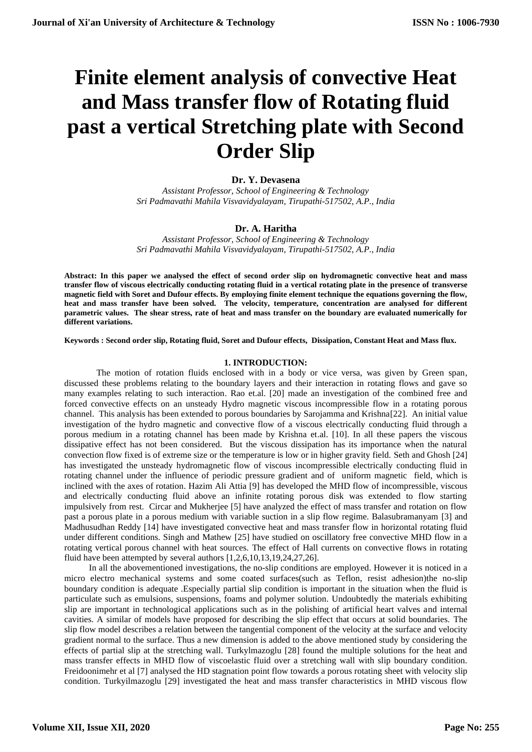# **Finite element analysis of convective Heat and Mass transfer flow of Rotating fluid past a vertical Stretching plate with Second Order Slip**

# **Dr. Y. Devasena**

*Assistant Professor, School of Engineering & Technology Sri Padmavathi Mahila Visvavidyalayam, Tirupathi-517502, A.P., India*

# **Dr. A. Haritha**

*Assistant Professor, School of Engineering & Technology Sri Padmavathi Mahila Visvavidyalayam, Tirupathi-517502, A.P., India*

**Abstract: In this paper we analysed the effect of second order slip on hydromagnetic convective heat and mass transfer flow of viscous electrically conducting rotating fluid in a vertical rotating plate in the presence of transverse magnetic field with Soret and Dufour effects. By employing finite element technique the equations governing the flow, heat and mass transfer have been solved. The velocity, temperature, concentration are analysed for different parametric values. The shear stress, rate of heat and mass transfer on the boundary are evaluated numerically for different variations.**

**Keywords : Second order slip, Rotating fluid, Soret and Dufour effects, Dissipation, Constant Heat and Mass flux.**

### **1. INTRODUCTION:**

The motion of rotation fluids enclosed with in a body or vice versa, was given by Green span, discussed these problems relating to the boundary layers and their interaction in rotating flows and gave so many examples relating to such interaction. Rao et.al. [20] made an investigation of the combined free and forced convective effects on an unsteady Hydro magnetic viscous incompressible flow in a rotating porous channel. This analysis has been extended to porous boundaries by Sarojamma and Krishna[22]. An initial value investigation of the hydro magnetic and convective flow of a viscous electrically conducting fluid through a porous medium in a rotating channel has been made by Krishna et.al. [10]. In all these papers the viscous dissipative effect has not been considered. But the viscous dissipation has its importance when the natural convection flow fixed is of extreme size or the temperature is low or in higher gravity field. Seth and Ghosh [24] has investigated the unsteady hydromagnetic flow of viscous incompressible electrically conducting fluid in rotating channel under the influence of periodic pressure gradient and of uniform magnetic field, which is inclined with the axes of rotation. Hazim Ali Attia [9] has developed the MHD flow of incompressible, viscous and electrically conducting fluid above an infinite rotating porous disk was extended to flow starting impulsively from rest. Circar and Mukherjee [5] have analyzed the effect of mass transfer and rotation on flow past a porous plate in a porous medium with variable suction in a slip flow regime. Balasubramanyam [3] and Madhusudhan Reddy [14] have investigated convective heat and mass transfer flow in horizontal rotating fluid under different conditions. Singh and Mathew [25] have studied on oscillatory free convective MHD flow in a rotating vertical porous channel with heat sources. The effect of Hall currents on convective flows in rotating fluid have been attempted by several authors [1,2,6,10,13,19,24,27,26].

 In all the abovementioned investigations, the no-slip conditions are employed. However it is noticed in a micro electro mechanical systems and some coated surfaces(such as Teflon, resist adhesion)the no-slip boundary condition is adequate .Especially partial slip condition is important in the situation when the fluid is particulate such as emulsions, suspensions, foams and polymer solution. Undoubtedly the materials exhibiting slip are important in technological applications such as in the polishing of artificial heart valves and internal cavities. A similar of models have proposed for describing the slip effect that occurs at solid boundaries. The slip flow model describes a relation between the tangential component of the velocity at the surface and velocity gradient normal to the surface. Thus a new dimension is added to the above mentioned study by considering the effects of partial slip at the stretching wall. Turkylmazoglu [28] found the multiple solutions for the heat and mass transfer effects in MHD flow of viscoelastic fluid over a stretching wall with slip boundary condition. Freidoonimehr et al [7] analysed the HD stagnation point flow towards a porous rotating sheet with velocity slip condition. Turkyilmazoglu [29] investigated the heat and mass transfer characteristics in MHD viscous flow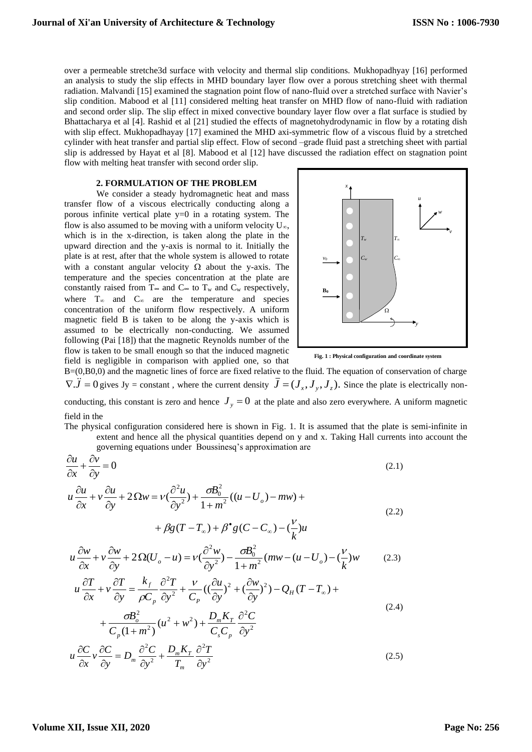over a permeable stretche3d surface with velocity and thermal slip conditions. Mukhopadhyay [16] performed an analysis to study the slip effects in MHD boundary layer flow over a porous stretching sheet with thermal radiation. Malvandi [15] examined the stagnation point flow of nano-fluid over a stretched surface with Navier's slip condition. Mabood et al [11] considered melting heat transfer on MHD flow of nano-fluid with radiation and second order slip. The slip effect in mixed convective boundary layer flow over a flat surface is studied by Bhattacharya et al [4]. Rashid et al [21] studied the effects of magnetohydrodynamic in flow by a rotating dish with slip effect. Mukhopadhayay [17] examined the MHD axi-symmetric flow of a viscous fluid by a stretched cylinder with heat transfer and partial slip effect. Flow of second –grade fluid past a stretching sheet with partial slip is addressed by Hayat et al [8]. Mabood et al [12] have discussed the radiation effect on stagnation point flow with melting heat transfer with second order slip.

## **2. FORMULATION OF THE PROBLEM**

We consider a steady hydromagnetic heat and mass transfer flow of a viscous electrically conducting along a porous infinite vertical plate  $y=0$  in a rotating system. The flow is also assumed to be moving with a uniform velocity  $U_{\infty}$ , which is in the x-direction, is taken along the plate in the upward direction and the y-axis is normal to it. Initially the plate is at rest, after that the whole system is allowed to rotate with a constant angular velocity  $\Omega$  about the y-axis. The temperature and the species concentration at the plate are constantly raised from T∞ and  $C<sub>∞</sub>$  to T<sub>w</sub> and  $C<sub>w</sub>$  respectively, where  $T_{\infty}$  and  $C_{\infty}$  are the temperature and species concentration of the uniform flow respectively. A uniform magnetic field B is taken to be along the y-axis which is assumed to be electrically non-conducting. We assumed following (Pai [18]) that the magnetic Reynolds number of the flow is taken to be small enough so that the induced magnetic field is negligible in comparison with applied one, so that



**Fig. 1 : Physical configuration and coordinate system**

B=(0,B0,0) and the magnetic lines of force are fixed relative to the fluid. The equation of conservation of charge  $\nabla \cdot \vec{J} = 0$  gives Jy = constant, where the current density  $\vec{J} = (J_x, J_y, J_z)$ . Since the plate is electrically nonconducting, this constant is zero and hence  $J_y = 0$  at the plate and also zero everywhere. A uniform magnetic

#### field in the

The physical configuration considered here is shown in Fig. 1. It is assumed that the plate is semi-infinite in extent and hence all the physical quantities depend on y and x. Taking Hall currents into account the governing equations under Boussinesq's approximation are

$$
\frac{\partial u}{\partial x} + \frac{\partial v}{\partial y} = 0
$$
\n
$$
u \frac{\partial u}{\partial x} + v \frac{\partial u}{\partial y} + 2 \Omega w = v \left(\frac{\partial^2 u}{\partial y^2}\right) + \frac{\partial B_0^2}{1 + m^2} \left((u - U_o) - mw\right) +
$$
\n
$$
+ \beta g (T - T_\infty) + \beta^* g (C - C_\infty) - \left(\frac{v}{k}\right) u
$$
\n(2.2)

$$
u\frac{\partial w}{\partial x} + v\frac{\partial w}{\partial y} + 2\Omega(U_o - u) = v\left(\frac{\partial^2 w}{\partial y^2}\right) - \frac{\partial B_0^2}{1 + m^2}(mw - (u - U_o) - \left(\frac{v}{k}\right)w\tag{2.3}
$$

$$
u\frac{\partial T}{\partial x} + v\frac{\partial T}{\partial y} = \frac{k_f}{\rho C_p}\frac{\partial^2 T}{\partial y^2} + \frac{v}{C_p}((\frac{\partial u}{\partial y})^2 + (\frac{\partial w}{\partial y})^2) - Q_H(T - T_\infty) +
$$
  
+ 
$$
\frac{\sigma B_o^2}{C_p(1 + m^2)}(u^2 + w^2) + \frac{D_m K_T}{C_s C_p}\frac{\partial^2 C}{\partial y^2}
$$
  

$$
u\frac{\partial C}{\partial x}v\frac{\partial C}{\partial y} = D_m\frac{\partial^2 C}{\partial y^2} + \frac{D_m K_T}{T_m}\frac{\partial^2 T}{\partial y^2}
$$
 (2.5)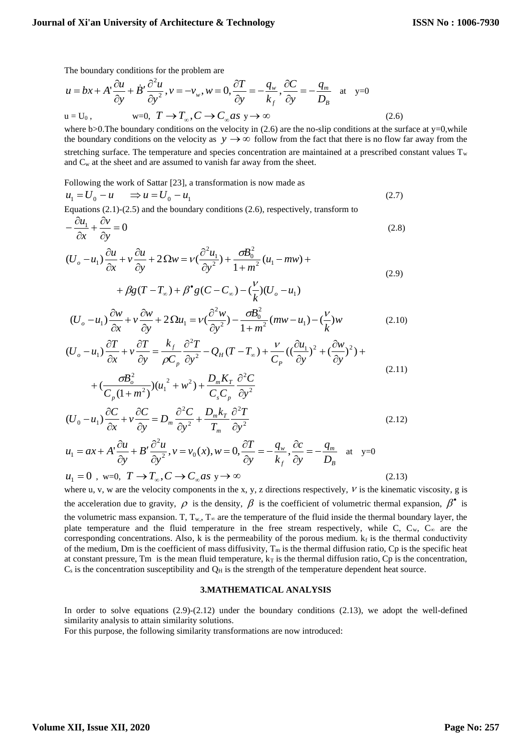The boundary conditions for the problem are

$$
u = bx + A' \frac{\partial u}{\partial y} + \dot{B}' \frac{\partial^2 u}{\partial y^2}, v = -v_w, w = 0, \frac{\partial T}{\partial y} = -\frac{q_w}{k_f}, \frac{\partial C}{\partial y} = -\frac{q_m}{D_B} \text{ at } y = 0
$$
  
u = U<sub>0</sub>, w = 0, T \rightarrow T<sub>∞</sub>, C \rightarrow C<sub>∞</sub> as y \rightarrow ∞ (2.6)

where b>0.The boundary conditions on the velocity in  $(2.6)$  are the no-slip conditions at the surface at y=0,while the boundary conditions on the velocity as  $y \rightarrow \infty$  follow from the fact that there is no flow far away from the stretching surface. The temperature and species concentration are maintained at a prescribed constant values  $T_w$ and  $C_w$  at the sheet and are assumed to vanish far away from the sheet.

Following the work of Sattar [23], a transformation is now made as

$$
u_1 = U_0 - u \qquad \Rightarrow u = U_0 - u_1 \tag{2.7}
$$

Equations (2.1)-(2.5) and the boundary conditions (2.6), respectively, transform to

$$
-\frac{\partial u_1}{\partial x} + \frac{\partial v}{\partial y} = 0
$$
\n(2.8)

$$
(U_o - u_1) \frac{\partial u}{\partial x} + v \frac{\partial u}{\partial y} + 2 \Omega w = v \left(\frac{\partial^2 u_1}{\partial y^2}\right) + \frac{\sigma B_0^2}{1 + m^2} (u_1 - m w) +
$$
\n(2.9)

$$
+\beta g(T-T_{\infty})+\beta^{\bullet}g(C-C_{\infty})-(\frac{\nu}{k})(U_{o}-u_{1})
$$

$$
(U_o - u_1) \frac{\partial w}{\partial x} + v \frac{\partial w}{\partial y} + 2\Omega u_1 = v(\frac{\partial^2 w}{\partial y^2}) - \frac{\partial B_0^2}{1 + m^2} (mw - u_1) - (\frac{v}{k})w
$$
 (2.10)

$$
(U_o - u_1) \frac{\partial T}{\partial x} + v \frac{\partial T}{\partial y} = \frac{k_f}{\rho C_p} \frac{\partial^2 T}{\partial y^2} - Q_H (T - T_\infty) + \frac{v}{C_p} \left( (\frac{\partial u_1}{\partial y})^2 + (\frac{\partial w}{\partial y})^2 \right) +
$$
  
+  $\left( \frac{\partial B_o^2}{\partial y^2} \right) (u_1^2 + w^2) + \frac{D_m K_T}{\partial y^2} \frac{\partial^2 C}{\partial y^2}$  (2.11)

$$
C_p (1 + m^2)^{1/(\mu_1 + \mu_2)} C_s C_p \partial y^2
$$
  

$$
(U_0 - u_1) \frac{\partial C}{\partial x} + v \frac{\partial C}{\partial y} = D_m \frac{\partial^2 C}{\partial y^2} + \frac{D_m k_T}{T_m} \frac{\partial^2 T}{\partial y^2}
$$
 (2.12)

$$
u_1 = ax + A' \frac{\partial u}{\partial y} + B' \frac{\partial^2 u}{\partial y^2}, v = v_0(x), w = 0, \frac{\partial T}{\partial y} = -\frac{q_w}{k_f}, \frac{\partial c}{\partial y} = -\frac{q_m}{D_B} \text{ at } y = 0
$$

$$
u_1 = 0, \text{ w=0, } T \to T_\infty, C \to C_\infty \text{ as } y \to \infty
$$
\n(2.13)

\nwhere u, v, w are the velocity components in the x, y, z directions respectively, V is the kinematic viscosity, g is

the acceleration due to gravity,  $\rho$  is the density,  $\beta$  is the coefficient of volumetric thermal expansion,  $\beta^*$  is the volumetric mass expansion. T,  $T_w$ ,  $T_\infty$  are the temperature of the fluid inside the thermal boundary layer, the plate temperature and the fluid temperature in the free stream respectively, while C,  $C_w$ ,  $C_w$  are the corresponding concentrations. Also, k is the permeability of the porous medium.  $k_f$  is the thermal conductivity of the medium, Dm is the coefficient of mass diffusivity,  $T_m$  is the thermal diffusion ratio, Cp is the specific heat at constant pressure, Tm is the mean fluid temperature,  $k_T$  is the thermal diffusion ratio, Cp is the concentration,  $C_s$  is the concentration susceptibility and  $Q_H$  is the strength of the temperature dependent heat source.

#### **3.MATHEMATICAL ANALYSIS**

In order to solve equations  $(2.9)-(2.12)$  under the boundary conditions  $(2.13)$ , we adopt the well-defined similarity analysis to attain similarity solutions.

For this purpose, the following similarity transformations are now introduced: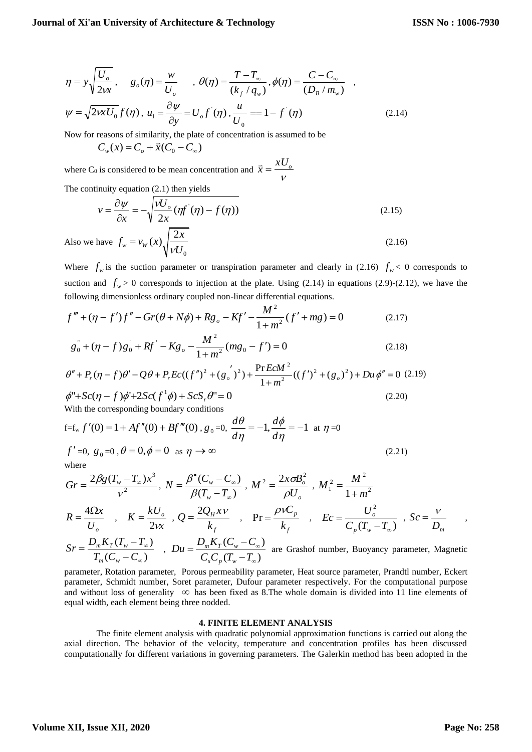$$
\eta = y \sqrt{\frac{U_o}{2vx}}, \quad g_o(\eta) = \frac{w}{U_o}, \quad \theta(\eta) = \frac{T - T_{\infty}}{(k_f / q_w)}, \phi(\eta) = \frac{C - C_{\infty}}{(D_B / m_w)},
$$
  

$$
\psi = \sqrt{2wxU_0} f(\eta), u_1 = \frac{\partial \psi}{\partial y} = U_o f'(\eta), \frac{u}{U_0} = 1 - f'(\eta)
$$
(2.14)

Now for reasons of similarity, the plate of concentration is assumed to be

$$
C_w(x) = C_o + \bar{x}(C_0 - C_\infty)
$$

where C<sub>0</sub> is considered to be mean concentration and  $\bar{x} = \frac{d}{v}$  $\bar{x} = \frac{xU_o}{x}$ 

The continuity equation (2.1) then yields

$$
v = \frac{\partial \psi}{\partial x} = -\sqrt{\frac{vU_o}{2x}(\eta f'(\eta) - f(\eta))}
$$
\n
$$
\text{Also we have } f_w = v_W(x)\sqrt{\frac{2x}{vU_0}}
$$
\n
$$
(2.16)
$$

 $\mathbf{0}$ Where  $f_w$  is the suction parameter or transpiration parameter and clearly in (2.16)  $f_w < 0$  corresponds to suction and  $f_w > 0$  corresponds to injection at the plate. Using (2.14) in equations (2.9)-(2.12), we have the following dimensionless ordinary coupled non-linear differential equations.

$$
f''' + (\eta - f')f'' - Gr(\theta + N\phi) + Rg_o - Kf' - \frac{M^2}{1 + m^2}(f' + mg) = 0
$$
 (2.17)

$$
1 + m
$$
  
\n
$$
g_0^{\dagger} + (\eta - f)g_0^{\dagger} + Rf^{\dagger} - Kg_o - \frac{M^2}{1 + m^2} (mg_0 - f') = 0
$$
\n
$$
\theta'' + P_r(\eta - f)\theta' - Q\theta + P_r Ec((f'')^2 + (g_o')^2) + \frac{Pr\ EcM^2}{1 + m^2}((f')^2 + (g_o)^2) + Du\ \phi'' = 0
$$
\n(2.18)

$$
\theta'' + P_r(\eta - f)\theta' - Q\theta + P_r Ec((f'')^2 + (g_o')^2) + \frac{\Pr EcM^2}{1 + m^2}((f')^2 + (g_o)^2) + Du\phi'' = 0
$$
 (2.19)  

$$
\phi'' + Sc(\eta - f)\phi' + 2Sc(f^1\phi) + ScS_r\theta'' = 0
$$
 (2.20)

With the corresponding boundary conditions

$$
f=fw f'(0) = 1 + Af''(0) + Bf'''(0), g0 = 0, \frac{d\theta}{d\eta} = -1, \frac{d\phi}{d\eta} = -1 \text{ at } \eta = 0
$$
  

$$
f' = 0, g0 = 0, \theta = 0, \phi = 0 \text{ as } \eta \to \infty
$$
 (2.21)

where

$$
Gr = \frac{2\beta g (T_w - T_\infty)x^3}{v^2}, N = \frac{\beta^{\bullet} (C_w - C_\infty)}{\beta (T_w - T_\infty)}, M^2 = \frac{2x \sigma B_o^2}{\rho U_o}, M_1^2 = \frac{M^2}{1 + m^2}
$$
  
\n
$$
R = \frac{4\Omega x}{U_o} , K = \frac{kU_o}{2vx}, Q = \frac{2Q_H x v}{k_f} , Pr = \frac{\rho v C_p}{k_f} , Ec = \frac{U_o^2}{C_p (T_w - T_\infty)}, Sc = \frac{v}{D_m} ,
$$

$$
Sr = \frac{D_m K_T (T_w - T_\infty)}{T_m (C_w - C_\infty)} \quad , \quad Du = \frac{D_m K_T (C_w - C_\infty)}{C_s C_p (T_w - T_\infty)} \quad \text{are Grashof number, Buoyancy parameter, Magnetic}
$$

parameter, Rotation parameter, Porous permeability parameter, Heat source parameter, Prandtl number, Eckert parameter, Schmidt number, Soret parameter, Dufour parameter respectively. For the computational purpose and without loss of generality  $\infty$  has been fixed as 8. The whole domain is divided into 11 line elements of equal width, each element being three nodded.

### **4. FINITE ELEMENT ANALYSIS**

The finite element analysis with quadratic polynomial approximation functions is carried out along the axial direction. The behavior of the velocity, temperature and concentration profiles has been discussed computationally for different variations in governing parameters. The Galerkin method has been adopted in the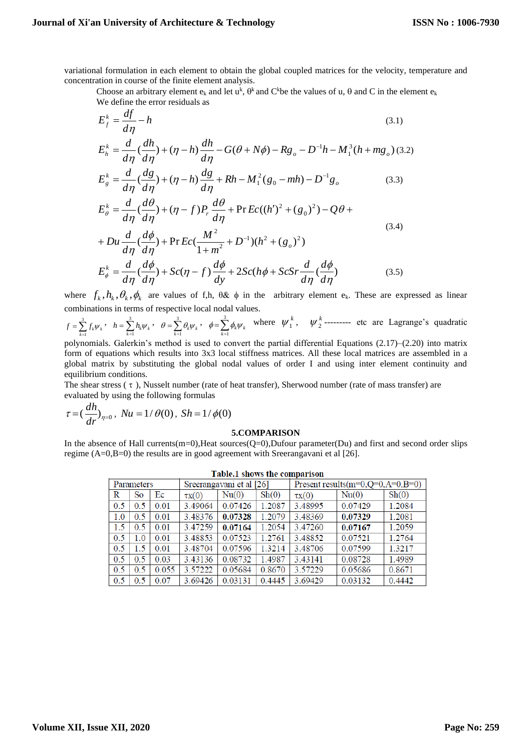variational formulation in each element to obtain the global coupled matrices for the velocity, temperature and concentration in course of the finite element analysis.

Choose an arbitrary element  $e_k$  and let  $u^k$ ,  $\theta^k$  and C<sup>k</sup>be the values of u,  $\theta$  and C in the element  $e_k$ We define the error residuals as

$$
E_{f}^{k} = \frac{df}{d\eta} - h
$$
\n(3.1)  
\n
$$
E_{h}^{k} = \frac{d}{d\eta} \left(\frac{dh}{d\eta}\right) + (\eta - h) \frac{dh}{d\eta} - G(\theta + N\phi) - Rg_{o} - D^{-1}h - M_{1}^{3}(h + mg_{o})
$$
\n(3.2)  
\n
$$
E_{g}^{k} = \frac{d}{d\eta} \left(\frac{dg}{d\eta}\right) + (\eta - h) \frac{dg}{d\eta} + Rh - M_{1}^{2}(g_{0} - mh) - D^{-1}g_{o}
$$
\n(3.3)  
\n
$$
E_{\theta}^{k} = \frac{d}{d\eta} \left(\frac{d\theta}{d\eta}\right) + (\eta - f)P_{r} \frac{d\theta}{d\eta} + \Pr E c((h')^{2} + (g_{0})^{2}) - Q\theta +
$$
\n(3.4)  
\n
$$
+ Du \frac{d}{d\eta} \left(\frac{d\phi}{d\eta}\right) + \Pr E c\left(\frac{M^{2}}{1 + m^{2}} + D^{-1}\right)(h^{2} + (g_{o})^{2})
$$
\n(3.4)

$$
E_{\phi}^{k} = \frac{d}{d\eta} \left(\frac{d\phi}{d\eta}\right) + Sc(\eta - f)\frac{d\phi}{dy} + 2Sc(h\phi + ScSr\frac{d}{d\eta}\left(\frac{d\phi}{d\eta}\right) \tag{3.5}
$$

where  $f_k$ ,  $h_k$ ,  $\theta_k$ ,  $\phi_k$  are values of f,h,  $\theta \& \phi$  in the arbitrary element e<sub>k</sub>. These are expressed as linear combinations in terms of respective local nodal values.

 $= \sum_{k=1}^{3}$  $f = \sum_{k=1}^{3} f_k \psi_k$ ,  $h = \sum_{k=1}^{3}$  $h = \sum_{k=1}^{3} h_k \psi_k, \quad \theta = \sum_{k=1}^{3} h_k$  $\theta = \sum_{k=1}^{3} \theta_k \psi_k, \quad \phi = \sum_{k=1}^{3}$  $\phi = \sum_{k=1}^{3} \phi_k \psi_k$  where  $\psi_1^k$ ,  $\psi_2^k$ --------- etc are Lagrange's quadratic

polynomials. Galerkin's method is used to convert the partial differential Equations (2.17)–(2.20) into matrix form of equations which results into 3x3 local stiffness matrices. All these local matrices are assembled in a global matrix by substituting the global nodal values of order I and using inter element continuity and equilibrium conditions.

The shear stress  $( \tau )$ , Nusselt number (rate of heat transfer), Sherwood number (rate of mass transfer) are evaluated by using the following formulas

$$
\tau = \left(\frac{dh}{dr}\right)_{\eta=0}, \; Nu = 1/\theta(0), \; Sh = 1/\phi(0)
$$

## **5.COMPARISON**

In the absence of Hall currents(m=0),Heat sources( $Q=0$ ),Dufour parameter(Du) and first and second order slips regime (A=0,B=0) the results are in good agreement with Sreerangavani et al [26].

| Parameters |           |       | Sreerangavani et al [26] |         |                  | Present results $(m=0,Q=0,A=0,B=0)$ |         |                  |  |
|------------|-----------|-------|--------------------------|---------|------------------|-------------------------------------|---------|------------------|--|
| R          | <b>So</b> | Ec    | $\tau x(0)$              | Nu(0)   | $\mathrm{Sh}(0)$ | $\tau x(0)$                         | Nu(0)   | $\mathrm{Sh}(0)$ |  |
| 0.5        | 0.5       | 0.01  | 3.49064                  | 0.07426 | 1.2087           | 3.48995                             | 0.07429 | 1.2084           |  |
| 1.0        | 0.5       | 0.01  | 3.48376                  | 0.07328 | 1.2079           | 3.48369                             | 0.07329 | 1.2081           |  |
| 1.5        | 0.5       | 0.01  | 3.47259                  | 0.07164 | 1.2054           | 3.47260                             | 0.07167 | 1.2059           |  |
| 0.5        | 1.0       | 0.01  | 3.48853                  | 0.07523 | 1.2761           | 3.48852                             | 0.07521 | 1.2764           |  |
| 0.5        | 1.5       | 0.01  | 3.48704                  | 0.07596 | 1.3214           | 3.48706                             | 0.07599 | 1.3217           |  |
| 0.5        | 0.5       | 0.03  | 3.43136                  | 0.08732 | 1.4987           | 3.43141                             | 0.08728 | 1.4989           |  |
| 0.5        | 0.5       | 0.055 | 3.57222                  | 0.05684 | 0.8670           | 3.57229                             | 0.05686 | 0.8671           |  |
| 0.5        | 0.5       | 0.07  | 3.69426                  | 0.03131 | 0.4445           | 3.69429                             | 0.03132 | 0.4442           |  |

#### Table.1 shows the comparison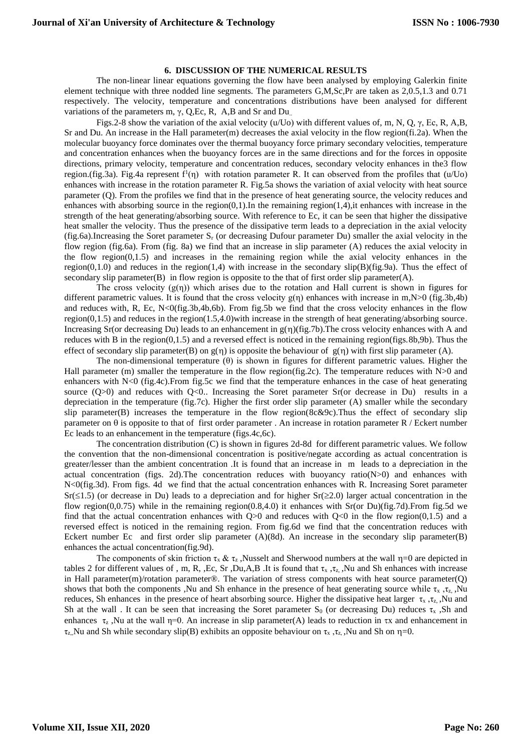## **6. DISCUSSION OF THE NUMERICAL RESULTS**

The non-linear linear equations governing the flow have been analysed by employing Galerkin finite element technique with three nodded line segments. The parameters G,M,Sc,Pr are taken as 2,0.5,1.3 and 0.71 respectively. The velocity, temperature and concentrations distributions have been analysed for different variations of the parameters m, γ, Q,Ec, R, A,B and Sr and Du..

Figs.2-8 show the variation of the axial velocity (u/Uo) with different values of, m, N, Q, γ, Ec, R, A,B, Sr and Du. An increase in the Hall parameter(m) decreases the axial velocity in the flow region(fi.2a). When the molecular buoyancy force dominates over the thermal buoyancy force primary secondary velocities, temperature and concentration enhances when the buoyancy forces are in the same directions and for the forces in opposite directions, primary velocity, temperature and concentration reduces, secondary velocity enhances in the3 flow region.(fig.3a). Fig.4a represent  $f'(n)$  with rotation parameter R. It can observed from the profiles that (u/Uo) enhances with increase in the rotation parameter R. Fig.5a shows the variation of axial velocity with heat source parameter (Q). From the profiles we find that in the presence of heat generating source, the velocity reduces and enhances with absorbing source in the region $(0,1)$ . In the remaining region $(1,4)$ , it enhances with increase in the strength of the heat generating/absorbing source. With reference to Ec, it can be seen that higher the dissipative heat smaller the velocity. Thus the presence of the dissipative term leads to a depreciation in the axial velocity (fig.6a).Increasing the Soret parameter S<sup>r</sup> (or decreasing Dufour parameter Du) smaller the axial velocity in the flow region (fig.6a). From (fig. 8a) we find that an increase in slip parameter (A) reduces the axial velocity in the flow region(0,1.5) and increases in the remaining region while the axial velocity enhances in the region(0,1.0) and reduces in the region(1,4) with increase in the secondary  $\text{slip}(B)(\text{fig}.9a)$ . Thus the effect of secondary slip parameter $(B)$  in flow region is opposite to the that of first order slip parameter $(A)$ .

The cross velocity  $(g(\eta))$  which arises due to the rotation and Hall current is shown in figures for different parametric values. It is found that the cross velocity  $g(\eta)$  enhances with increase in m,N $>0$  (fig.3b,4b) and reduces with, R, Ec, N<0(fig.3b,4b,6b). From fig.5b we find that the cross velocity enhances in the flow region(0,1.5) and reduces in the region(1.5,4.0)with increase in the strength of heat generating/absorbing source. Increasing Sr(or decreasing Du) leads to an enhancement in  $g(\eta)(fig.7b)$ . The cross velocity enhances with A and reduces with B in the region(0,1.5) and a reversed effect is noticed in the remaining region(figs.8b,9b). Thus the effect of secondary slip parameter(B) on  $g(\eta)$  is opposite the behaviour of  $g(\eta)$  with first slip parameter (A).

The non-dimensional temperature  $(\theta)$  is shown in figures for different parametric values. Higher the Hall parameter (m) smaller the temperature in the flow region(fig.2c). The temperature reduces with N>0 and enhancers with N<0 (fig.4c).From fig.5c we find that the temperature enhances in the case of heat generating source  $(Q>0)$  and reduces with  $Q<0$ . Increasing the Soret parameter Sr(or decrease in Du) results in a depreciation in the temperature (fig.7c). Higher the first order slip parameter (A) smaller while the secondary slip parameter(B) increases the temperature in the flow region(8c&9c).Thus the effect of secondary slip parameter on  $\theta$  is opposite to that of first order parameter . An increase in rotation parameter R / Eckert number Ec leads to an enhancement in the temperature (figs.4c,6c).

The concentration distribution (C) is shown in figures 2d-8d for different parametric values. We follow the convention that the non-dimensional concentration is positive/negate according as actual concentration is greater/lesser than the ambient concentration .It is found that an increase in m leads to a depreciation in the actual concentration (figs. 2d). The concentration reduces with buoyancy ratio( $N>0$ ) and enhances with N<0(fig.3d). From figs. 4d we find that the actual concentration enhances with R. Increasing Soret parameter  $Sr(1.5)$  (or decrease in Du) leads to a depreciation and for higher  $Sr(22.0)$  larger actual concentration in the flow region(0,0.75) while in the remaining region(0.8,4.0) it enhances with Sr(or Du)(fig.7d).From fig.5d we find that the actual concentration enhances with  $Q>0$  and reduces with  $Q<0$  in the flow region(0,1.5) and a reversed effect is noticed in the remaining region. From fig.6d we find that the concentration reduces with Eckert number Ec and first order slip parameter (A)(8d). An increase in the secondary slip parameter(B) enhances the actual concentration(fig.9d).

The components of skin friction  $\tau_x \& \tau_z$ , Nusselt and Sherwood numbers at the wall  $\eta=0$  are depicted in tables 2 for different values of , m, R, ,Ec, Sr ,Du,A,B .It is found that  $\tau_x$ ,  $\tau_z$ , Nu and Sh enhances with increase in Hall parameter(m)/rotation parameter $\circledR$ . The variation of stress components with heat source parameter(Q) shows that both the components ,Nu and Sh enhance in the presence of heat generating source while  $\tau_x$ ,  $\tau_z$ , Nu reduces, Sh enhances in the presence of heart absorbing source. Higher the dissipative heat larger  $\tau_x$ ,  $\tau_z$ , Nu and Sh at the wall . It can be seen that increasing the Soret parameter  $S_0$  (or decreasing Du) reduces  $\tau_x$ , Sh and enhances  $\tau_z$ , Nu at the wall  $\eta=0$ . An increase in slip parameter(A) leads to reduction in  $\tau_x$  and enhancement in  $\tau_z$ , Nu and Sh while secondary slip(B) exhibits an opposite behaviour on  $\tau_x$ ,  $\tau_z$ , Wu and Sh on  $\eta=0$ .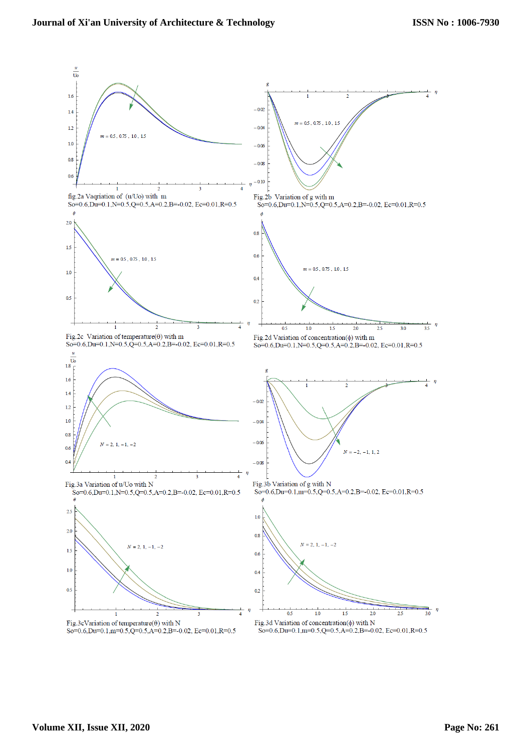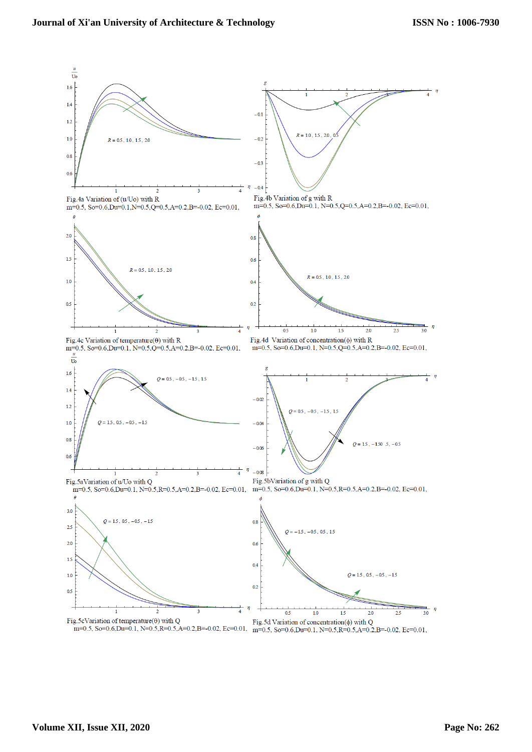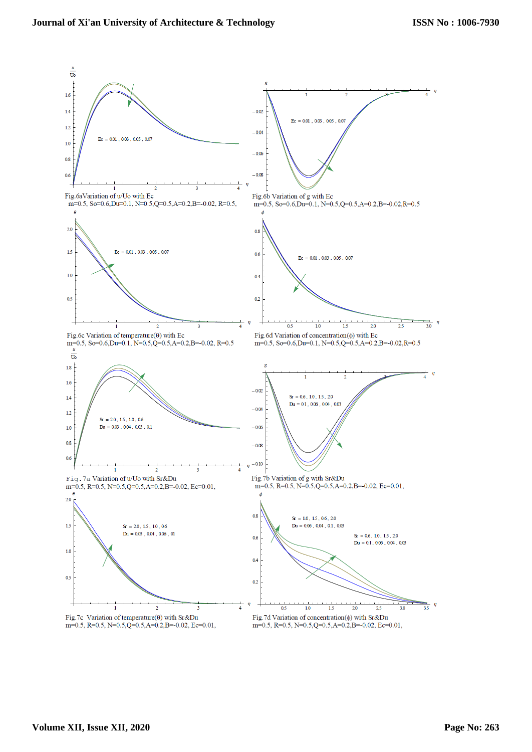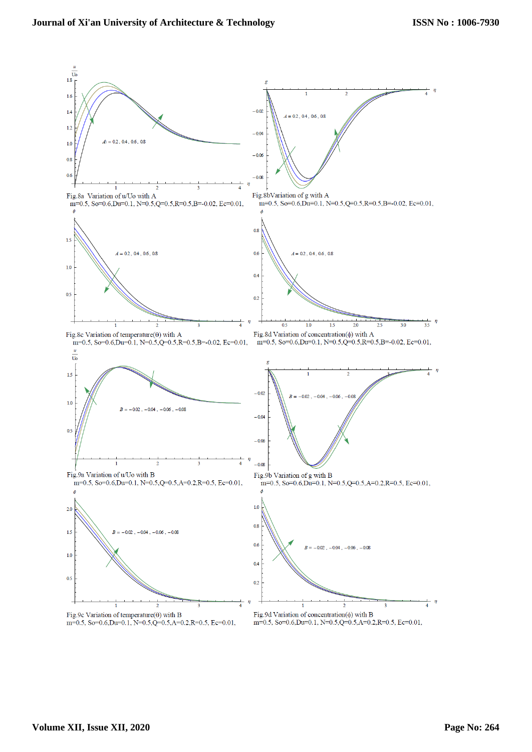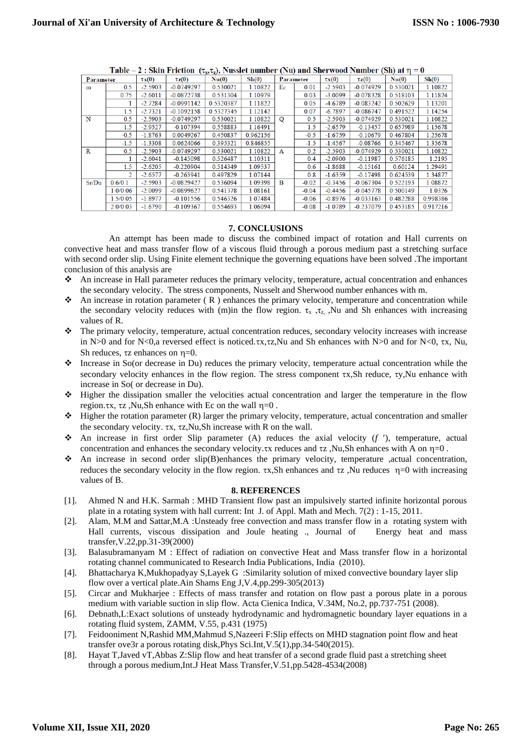| Parameter |          | $\tau x(0)$ | $\tau$ z $(0)$ | Nu(0)     | Sh(0)    | Parameter   |         | $\tau x(0)$ | $\tau$ z $(0)$ | Nu(0)    | Sh(0)    |
|-----------|----------|-------------|----------------|-----------|----------|-------------|---------|-------------|----------------|----------|----------|
| m         | 0.5      | $-2.5903$   | $-0.0749297$   | 0.530021  | 1.10822  | Ec          | 0.01    | $-2.5903$   | $-0.074929$    | 0.530021 | 1.10822  |
|           | 0.75     | $-2.6011$   | $-0.0872738$   | 0.531304  | 1.10979  |             | 0.03    | $-3.0099$   | $-0.078328$    | 0.518103 | 1.11824  |
|           |          | $-2.7284$   | $-0.0991142$   | 0.5320387 | 1.11822  |             | 0.05    | -4.6789     | $-0.083242$    | 0.502629 | 1.13201  |
|           | 1.5      | $-2.7321$   | $-0.1092158$   | 0.5327345 | 1.12142  |             | 0.07    | $-6.7897$   | $-0.086747$    | 0.491522 | 1.14254  |
| N         | 0.5      | $-2.5903$   | $-0.0749297$   | 0.530021  | 1.10822  | $\mathbf O$ | 0.5     | $-2.5903$   | $-0.074929$    | 0.530021 | 1.10822  |
|           | 1.5      | $-2.9527$   | $-0.107394$    | 0.558883  | 1.16491  |             | 1.5     | $-2.6579$   | $-0.13457$     | 0.657989 | 1.15678  |
|           | $-0.5$   | $-1.8763$   | 0.0049267      | 0.450837  | 0.962156 |             | $-0.5$  | $-1.6759$   | $-0.10679$     | 0.467804 | 1.25678  |
|           | $-1.5$   | $-1.3308$   | 0.0624066      | 0.395321  | 0.846855 |             | $-1.5$  | $-1.4567$   | $-0.08766$     | 0.345467 | 1.35678  |
| R         | 0.5      | $-2.5903$   | $-0.0749297$   | 0.530021  | 1.10822  | A           | 0.2     | $-2.5903$   | $-0.074929$    | 0.530021 | 1.10822  |
|           |          | $-2.6041$   | $-0.145098$    | 0.526487  | 1.10311  |             | 0.4     | $-2.0900$   | $-0.11987$     | 0.576185 | 1.2195   |
|           | 1.5      | $-2.6205$   | $-0.220904$    | 0.514349  | 1.09537  |             | 0.6     | $-1.8688$   | $-0.15161$     | 0.60124  | 1.29491  |
|           | 2        | $-2.6577$   | $-0.263941$    | 0.497829  | 1.07144  |             | 0.8     | $-1.6359$   | $-0.17498$     | 0.624539 | 1.34877  |
| Sr/Du     | 0.6/0.1  | $-2.5903$   | $-0.0829427$   | 0.536094  | 1.09398  | $\bf{B}$    | $-0.02$ | $-0.3456$   | $-0.067304$    | 0.522193 | 1.08872  |
|           | 1.0/0.06 | $-2.0099$   | $-0.0899627$   | 0.541378  | 1.08161  |             | $-0.04$ | $-0.4456$   | $-0.045778$    | 0.500149 | 1.0326   |
|           | 1.5/0.05 | $-1.8977$   | $-0.101556$    | 0.546326  | 1.07484  |             | $-0.06$ | $-0.8976$   | $-0.033163$    | 0.482288 | 0.998386 |
|           | 2.0/0.03 | $-1.6790$   | $-0.109367$    | 0.554693  | 1.06094  |             | $-0.08$ | $-1.0789$   | $-0.237079$    | 0.453185 | 0.917216 |

Table – 2 : Skin Friction  $(\tau_x, \tau_z)$ , Nusslet number (Nu) and Sherwood Number (Sh) at  $\eta = 0$ 

### **7. CONCLUSIONS**

 An attempt has been made to discuss the combined impact of rotation and Hall currents on convective heat and mass transfer flow of a viscous fluid through a porous medium past a stretching surface with second order slip. Using Finite element technique the governing equations have been solved .The important conclusion of this analysis are

- ❖ An increase in Hall parameter reduces the primary velocity, temperature, actual concentration and enhances the secondary velocity. The stress components, Nusselt and Sherwood number enhances with m.
- $\bullet$  An increase in rotation parameter (R) enhances the primary velocity, temperature and concentration while the secondary velocity reduces with (m)in the flow region.  $\tau_x$ ,  $\tau_z$ , Nu and Sh enhances with increasing values of R.
- ❖ The primary velocity, temperature, actual concentration reduces, secondary velocity increases with increase in N>0 and for N<0,a reversed effect is noticed. $\tau x, \tau z$ ,Nu and Sh enhances with N>0 and for N<0,  $\tau x$ , Nu, Sh reduces,  $\tau z$  enhances on  $\eta = 0$ .
- ❖ Increase in So(or decrease in Du) reduces the primary velocity, temperature actual concentration while the secondary velocity enhances in the flow region. The stress component  $\tau x$ , Sh reduce,  $\tau y$ , Nu enhance with increase in So( or decrease in Du).
- ❖ Higher the dissipation smaller the velocities actual concentration and larger the temperature in the flow region. $\tau x$ ,  $\tau z$ , Nu,Sh enhance with Ec on the wall  $\eta = 0$ .
- ❖ Higher the rotation parameter (R) larger the primary velocity, temperature, actual concentration and smaller the secondary velocity.  $\tau x$ ,  $\tau z$ ,  $Nu$ ,  $Sh$  increase with R on the wall.
- ❖ An increase in first order Slip parameter (A) reduces the axial velocity (*f* ), temperature, actual concentration and enhances the secondary velocity.x reduces and  $\tau z$ , Nu, Sh enhances with A on  $\eta = 0$ .
- ❖ An increase in second order slip(B)enhances the primary velocity, temperature ,actual concentration, reduces the secondary velocity in the flow region.  $\tau x$ ,Sh enhances and  $\tau z$ ,Nu reduces  $\eta=0$  with increasing values of B.

### **8. REFERENCES**

- [1]. Ahmed N and H.K. Sarmah : MHD Transient flow past an impulsively started infinite horizontal porous plate in a rotating system with hall current: Int J. of Appl. Math and Mech. 7(2) : 1-15, 2011.
- [2]. Alam, M.M and Sattar,M.A :Unsteady free convection and mass transfer flow in a rotating system with Hall currents, viscous dissipation and Joule heating ., Journal of Energy heat and mass transfer,V.22,pp.31-39(2000)
- [3]. Balasubramanyam M : Effect of radiation on convective Heat and Mass transfer flow in a horizontal rotating channel communicated to Research India Publications, India (2010).
- [4]. Bhattacharya K,Mukhopadyay S,Layek G :Similarity solution of mixed convective boundary layer slip flow over a vertical plate.Ain Shams Eng J,V.4,pp.299-305(2013)
- [5]. Circar and Mukharjee : Effects of mass transfer and rotation on flow past a porous plate in a porous medium with variable suction in slip flow. Acta Cienica Indica, V.34M, No.2, pp.737-751 (2008).
- [6]. Debnath,L:Exact solutions of unsteady hydrodynamic and hydromagnetic boundary layer equations in a rotating fluid system, ZAMM, V.55, p.431 (1975)
- [7]. Feidooniment N,Rashid MM,Mahmud S,Nazeeri F:Slip effects on MHD stagnation point flow and heat transfer ove3r a porous rotating disk,Phys Sci.Int,V.5(1),pp.34-540(2015).
- [8]. Hayat T,Javed vT,Abbas Z:Slip flow and heat transfer of a second grade fluid past a stretching sheet through a porous medium,Int.J Heat Mass Transfer,V.51,pp.5428-4534(2008)